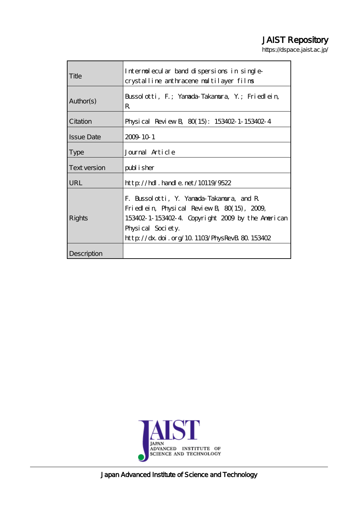## JAIST Repository

https://dspace.jaist.ac.jp/

| Title             | Internolecular band dispersions in single-<br>crystalline anthracene multilayer films                                                                                                                                 |
|-------------------|-----------------------------------------------------------------------------------------------------------------------------------------------------------------------------------------------------------------------|
| Author(s)         | Bussolotti, F.; Yanada-Takanura, Y.; Friedlein,<br>R                                                                                                                                                                  |
| Citation          | Physical Review B 80(15): 153402-1-153402-4                                                                                                                                                                           |
| <b>Issue Date</b> | 2009 10 1                                                                                                                                                                                                             |
| <b>Type</b>       | Journal Article                                                                                                                                                                                                       |
| Text version      | publisher                                                                                                                                                                                                             |
| <b>URL</b>        | $\frac{\text{http}}{\text{dtpt}}$ . handle. net/10119/9522                                                                                                                                                            |
| Rights            | F. Bussolotti, Y. Yanada-Takamura, and R.<br>Friedlein, Physical Review B, $80(15)$ , $2009$<br>153402-1-153402-4 Copyright 2009 by the American<br>Physical Society.<br>http://dx.doi.org/10.1103/PhysRevB 80.153402 |
| Description       |                                                                                                                                                                                                                       |



Japan Advanced Institute of Science and Technology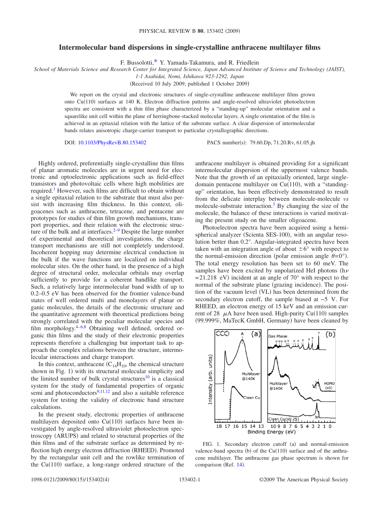## **Intermolecular band dispersions in single-crystalline anthracene multilayer films**

F. Bussolotti[,\\*](#page-4-0) Y. Yamada-Takamura, and R. Friedlein

*School of Materials Science and Research Center for Integrated Science, Japan Advanced Institute of Science and Technology (JAIST),*

*1-1 Asahidai, Nomi, Ishikawa 923-1292, Japan*

Received 10 July 2009; published 1 October 2009-

We report on the crystal and electronic structures of single-crystalline anthracene multilayer films grown onto Cu(110) surfaces at 140 K. Electron diffraction patterns and angle-resolved ultraviolet photoelectron spectra are consistent with a thin film phase characterized by a "standing-up" molecular orientation and a squarelike unit cell within the plane of herringbone-stacked molecular layers. A single orientation of the film is achieved in an epitaxial relation with the lattice of the substrate surface. A clear dispersion of intermolecular bands relates anisotropic charge-carrier transport to particular crystallographic directions.

DOI: [10.1103/PhysRevB.80.153402](http://dx.doi.org/10.1103/PhysRevB.80.153402)

PACS number(s): 79.60.Dp, 71.20.Rv, 61.05.jh

Highly ordered, preferentially single-crystalline thin films of planar aromatic molecules are in urgent need for electronic and optoelectronic applications such as field-effect transistors and photovoltaic cells where high mobilities are required[.1](#page-4-1) However, such films are difficult to obtain without a single epitaxial relation to the substrate that must also persist with increasing film thickness. In this context, oligoacenes such as anthracene, tetracene, and pentacene are prototypes for studies of thin film growth mechanisms, transport properties, and their relation with the electronic structure of the bulk and at interfaces. $2-9$  Despite the large number of experimental and theoretical investigations, the charge transport mechanisms are still not completely understood. Incoherent hopping may determine electrical conduction in the bulk if the wave functions are localized on individual molecular sites. On the other hand, in the presence of a high degree of structural order, molecular orbitals may overlap sufficiently to provide for a coherent bandlike transport. Such, a relatively large intermolecular band width of up to 0.2–0.5 eV has been observed for the frontier valence-band states of well ordered multi and monolayers of planar organic molecules, the details of the electronic structure and the quantitative agreement with theoretical predictions being strongly correlated with the peculiar molecular species and film morphology[.4](#page-4-4)[–6](#page-4-5)[,8](#page-4-6) Obtaining well defined, ordered organic thin films and the study of their electronic properties represents therefore a challenging but important task to approach the complex relations between the structure, intermolecular interactions and charge transport.

In this context, anthracene  $(C_{14}H_{10}$ , the chemical structure shown in Fig. [1](#page-1-0)) with its structural molecular simplicity and the limited number of bulk crystal structures<sup>10</sup> is a classical system for the study of fundamental properties of organic semi and photoconductors $9,11,12$  $9,11,12$  $9,11,12$  and also a suitable reference system for testing the validity of electronic band structure calculations.

In the present study, electronic properties of anthracene multilayers deposited onto  $Cu(110)$  surfaces have been investigated by angle-resolved ultraviolet photoelectron spectroscopy (ARUPS) and related to structural properties of the thin films and of the substrate surface as determined by reflection high energy electron diffraction (RHEED). Promoted by the rectangular unit cell and the rowlike termination of the  $Cu(110)$  surface, a long-range ordered structure of the

anthracene multilayer is obtained providing for a significant intermolecular dispersion of the uppermost valence bands. Note that the growth of an epitaxially oriented, large singledomain pentacene multilayer on  $Cu(110)$ , with a "standingup" orientation, has been effectively demonstrated to result from the delicate interplay between molecule-molecule *vs* molecule-substrate interaction.<sup>3</sup> By changing the size of the molecule, the balance of these interactions is varied motivating the present study on the smaller oligoacene.

Photoelectron spectra have been acquired using a hemispherical analyzer (Scienta SES-100), with an angular resolution better than 0.2°. Angular-integrated spectra have been taken with an integration angle of about  $\pm 6^{\circ}$  with respect to the normal-emission direction (polar emission angle  $\theta = 0^{\circ}$ ). The total energy resolution has been set to 60 meV. The samples have been excited by unpolarized HeI photons ( $h\nu$ )  $= 21.218$  eV) incident at an angle of 70° with respect to the normal of the substrate plane (grazing incidence). The position of the vacuum level (VL) has been determined from the secondary electron cutoff, the sample biased at −5 V. For RHEED, an electron energy of 15 keV and an emission current of 28  $\mu$ A have been used. High-purity Cu(110) samples (99.999%, MaTecK GmbH, Germany) have been cleaned by

<span id="page-1-0"></span>

FIG. 1. Secondary electron cutoff (a) and normal-emission valence-band spectra (b) of the Cu $(110)$  surface and of the anthracene multilayer. The anthracene gas phase spectrum is shown for comparison (Ref. [14](#page-4-11)).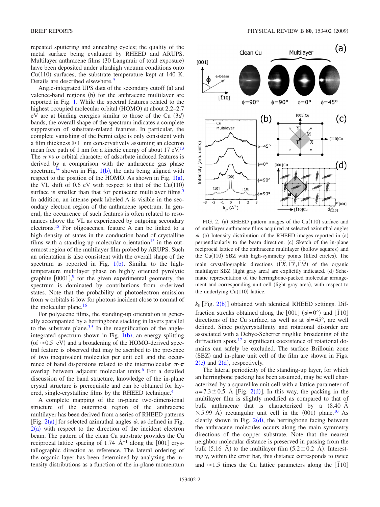repeated sputtering and annealing cycles; the quality of the metal surface being evaluated by RHEED and ARUPS. Multilayer anthracene films (30 Langmuir of total exposure) have been deposited under ultrahigh vacuum conditions onto  $Cu(110)$  surfaces, the substrate temperature kept at 140 K. Details are described elsewhere.<sup>9</sup>

Angle-integrated UPS data of the secondary cutoff (a) and valence-band regions (b) for the anthracene multilayer are reported in Fig. [1.](#page-1-0) While the spectral features related to the highest occupied molecular orbital (HOMO) at about 2.2-2.7 eV are at binding energies similar to those of the Cu  $(3d)$ bands, the overall shape of the spectrum indicates a complete suppression of substrate-related features. In particular, the complete vanishing of the Fermi edge is only consistent with a film thickness  $\geq 1$  nm conservatively assuming an electron mean free path of 1 nm for a kinetic energy of about 17 eV.<sup>13</sup> The  $\pi$  vs  $\sigma$  orbital character of adsorbate induced features is derived by a comparison with the anthracene gas phase spectrum,<sup>[1](#page-1-0)4</sup> shown in Fig. 1(b), the data being aligned with respect to the position of the HOMO. As shown in Fig.  $1(a)$  $1(a)$ , the VL shift of  $0.6$  eV with respect to that of the Cu(110) surface is smaller than that for pentacene multilayer films.<sup>5</sup> In addition, an intense peak labeled A is visible in the secondary electron region of the anthracene spectrum. In general, the occurrence of such features is often related to resonances above the VL as experienced by outgoing secondary electrons[.15](#page-4-14) For oligoacenes, feature A can be linked to a high density of states in the conduction band of crystalline films with a standing-up molecular orientation<sup>15</sup> in the outermost region of the multilayer film probed by ARUPS. Such an orientation is also consistent with the overall shape of the spectrum as reported in Fig.  $1(b)$  $1(b)$ . Similar to the hightemperature multilayer phase on highly oriented pyrolytic graphite  $[0001]$ , for the given experimental geometry, the spectrum is dominated by contributions from  $\sigma$ -derived states. Note that the probability of photoelectron emission from  $\pi$  orbitals is low for photons incident close to normal of the molecular plane[.16](#page-4-15)

For polyacene films, the standing-up orientation is generally accompanied by a herringbone stacking in layers parallel to the substrate plane. $3,5$  $3,5$  In the magnification of the angleintegrated spectrum shown in Fig.  $1(b)$  $1(b)$ , an energy splitting (of  $\approx$  0.5 eV) and a broadening of the HOMO-derived spectral feature is observed that may be ascribed to the presence of two inequivalent molecules per unit cell and the occurrence of band dispersions related to the intermolecular  $\pi$ - $\pi$ overlap between adjacent molecular units.<sup>6</sup> For a detailed discussion of the band structure, knowledge of the in-plane crystal structure is prerequisite and can be obtained for layered, single-crystalline films by the RHEED technique.<sup>4</sup>

A complete mapping of the in-plane two-dimensional structure of the outermost region of the anthracene multilayer has been derived from a series of RHEED patterns [Fig.  $2(a)$  $2(a)$ ] for selected azimuthal angles  $\phi$ , as defined in Fig.  $2(a)$  $2(a)$  with respect to the direction of the incident electron beam. The pattern of the clean Cu substrate provides the Cu reciprocal lattice spacing of 1.74 Å<sup>-1</sup> along the [001] crystallographic direction as reference. The lateral ordering of the organic layer has been determined by analyzing the intensity distributions as a function of the in-plane momentum

<span id="page-2-0"></span>

FIG. 2. (a) RHEED pattern images of the  $Cu(110)$  surface and of multilayer anthracene films acquired at selected azimuthal angles  $\phi$ . (b) Intensity distribution of the RHEED images reported in (a) perpendicularly to the beam direction. (c) Sketch of the in-plane reciprocal lattice of the anthracene multilayer (hollow squares) and the Cu(110) SBZ with high-symmetry points (filled circles). The main crystallographic directions  $(\overline{\Gamma}\overline{X}, \overline{\Gamma}\overline{Y}, \overline{\Gamma}\overline{M})$  of the organic multilayer SBZ (light gray area) are explicitly indicated. (d) Schematic representation of the herringbone-packed molecular arrangement and corresponding unit cell (light gray area), with respect to the underlying  $Cu(110)$  lattice.

 $k_{\parallel}$  [Fig. [2](#page-2-0)(b)] obtained with identical RHEED settings. Diffraction streaks obtained along the  $[001]$   $(\phi=0^{\circ})$  and  $[110]$ directions of the Cu surface, as well as at  $\phi = 45^{\circ}$ , are well defined. Since polycrystallinity and rotational disorder are associated with a Debye-Scherrer ringlike broadening of the diffraction spots, $17$  a significant coexistence of rotational domains can safely be excluded. The surface Brillouin zone (SBZ) and in-plane unit cell of the film are shown in Figs.  $2(c)$  $2(c)$  and  $2(d)$ , respectively.

The lateral periodicity of the standing-up layer, for which an herringbone packing has been assumed, may be well characterized by a squarelike unit cell with a lattice parameter of  $a = 7.3 \pm 0.5$  Å [Fig. [2](#page-2-0)(d)]. In this way, the packing in the multilayer film is slightly modified as compared to that of bulk anthracene that is characterized by a  $(8.40 \text{ Å})$  $\times$  5.99 Å) rectangular unit cell in the (001) plane.<sup>10</sup> As clearly shown in Fig.  $2(d)$  $2(d)$ , the herringbone facing between the anthracene molecules occurs along the main symmetry directions of the copper substrate. Note that the nearest neighbor molecular distance is preserved in passing from the bulk (5.16 Å) to the multilayer film (5.2  $\pm$  0.2 Å). Interestingly, within the error bar, this distance corresponds to twice and  $\approx$ 1.5 times the Cu lattice parameters along the  $\overline{110}$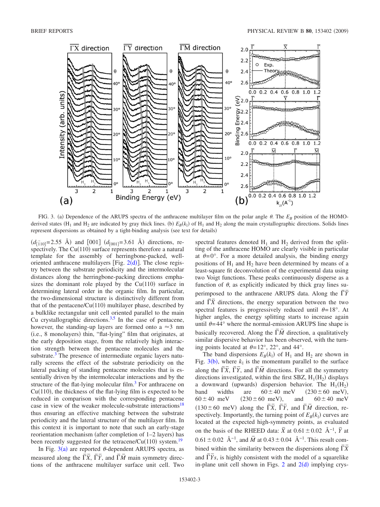<span id="page-3-0"></span>

FIG. 3. (a) Dependence of the ARUPS spectra of the anthracene multilayer film on the polar angle  $\theta$ . The  $E_B$  position of the HOMOderived states ( $H_1$  and  $H_2$  are indicated by gray thick lines. (b)  $E_B(k_{\parallel})$  of  $H_1$  and  $H_2$  along the main crystallographic directions. Solids lines represent dispersions as obtained by a tight-binding analysis (see text for details)

 $(d_{\overline{1}}_{10} = 2.55 \text{ Å})$  and  $[001]$   $(d_{[001]} = 3.61 \text{ Å})$  directions, respectively. The  $Cu(110)$  surface represents therefore a natural template for the assembly of herringbone-packed, welloriented anthracene multilayers [Fig.  $2(d)$  $2(d)$ ]. The close registry between the substrate periodicity and the intermolecular distances along the herringbone-packing directions emphasizes the dominant role played by the  $Cu(110)$  surface in determining lateral order in the organic film. In particular, the two-dimensional structure is distinctively different from that of the pentacene/ $Cu(110)$  multilayer phase, described by a bulklike rectangular unit cell oriented parallel to the main Cu crystallographic directions. $3,5$  $3,5$  In the case of pentacene, however, the standing-up layers are formed onto a  $\approx$  3 nm (i.e., 8 monolayers) thin, "flat-lying" film that originates, at the early deposition stage, from the relatively high interaction strength between the pentacene molecules and the substrate.<sup>3</sup> The presence of intermediate organic layers naturally screens the effect of the substrate periodicity on the lateral packing of standing pentacene molecules that is essentially driven by the intermolecular interactions and by the structure of the flat-lying molecular film.<sup>3</sup> For anthracene on  $Cu(110)$ , the thickness of the flat-lying film is expected to be reduced in comparison with the corresponding pentacene case in view of the weaker molecule-substrate interactions<sup>18</sup> thus ensuring an effective matching between the substrate periodicity and the lateral structure of the multilayer film. In this context it is important to note that such an early-stage reorientation mechanism (after completion of 1–2 layers) has been recently suggested for the tetracene/Cu(110) system.<sup>19</sup>

In Fig.  $3(a)$  $3(a)$  are reported  $\theta$ -dependent ARUPS spectra, as measured along the  $\overline{\Gamma}\overline{X}$ ,  $\overline{\Gamma}\overline{Y}$ , and  $\overline{\Gamma}\overline{M}$  main symmetry directions of the anthracene multilayer surface unit cell. Two spectral features denoted  $H_1$  and  $H_2$  derived from the splitting of the anthracene HOMO are clearly visible in particular at  $\theta = 0^\circ$ . For a more detailed analysis, the binding energy positions of  $H_1$  and  $H_2$  have been determined by means of a least-square fit deconvolution of the experimental data using two Voigt functions. These peaks continuously disperse as a function of  $\theta$ , as explicitly indicated by thick gray lines superimposed to the anthracene ARUPS data. Along the  $\overline{\Gamma}$ <sup> $\overline{Y}$ </sup> and  $\overline{TX}$  directions, the energy separation between the two spectral features is progressively reduced until  $\theta = 18^{\circ}$ . At higher angles, the energy splitting starts to increase again until  $\theta = 44^{\circ}$  where the normal-emission ARUPS line shape is basically recovered. Along the  $\overline{\Gamma}\overline{M}$  direction, a qualitatively similar dispersive behavior has been observed, with the turning points located at  $\theta = 12^{\circ}$ , 22°, and 44°.

The band dispersions  $E_B(k_{\parallel})$  of H<sub>1</sub> and H<sub>2</sub> are shown in Fig.  $3(b)$  $3(b)$ , where  $k_{\parallel}$  is the momentum parallel to the surface along the  $\overline{\Gamma}\overline{X}$ ,  $\overline{\Gamma}\overline{Y}$ , and  $\overline{\Gamma}\overline{M}$  directions. For all the symmetry directions investigated, within the first SBZ,  $H_1(H_2)$  displays a downward (upwards) dispersion behavior. The  $H_1(H_2)$ band widths are  $60 \pm 40$  meV  $(230 \pm 60$  meV),  $60 \pm 40$  meV  $(230 \pm 60$  meV), and  $60 \pm 40$  meV  $(130 \pm 60 \text{ meV})$  along the  $\overline{\overline{X}}, \overline{\overline{Y}}, \overline{\overline{Y}}$ , and  $\overline{\overline{M}}$  direction, respectively. Importantly, the turning point of  $E_B(k_{\parallel})$  curves are located at the expected high-symmetry points, as evaluated on the basis of the RHEED data:  $\bar{X}$  at  $0.61 \pm 0.02$  Å<sup>-1</sup>,  $\bar{Y}$  at  $0.61 \pm 0.02$  Å<sup>-1</sup>, and  $\overline{M}$  at  $0.43 \pm 0.04$  Å<sup>-1</sup>. This result combined within the similarity between the dispersions along  $\overline{\overline{Y}}\overline{X}$ and  $\overline{\overline{Y}}s$ , is highly consistent with the model of a squarelike in-plane unit cell shown in Figs. [2](#page-2-0) and  $2(d)$  implying crys-